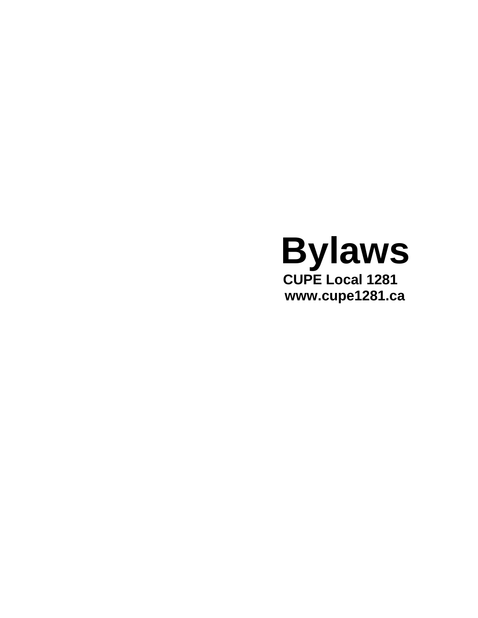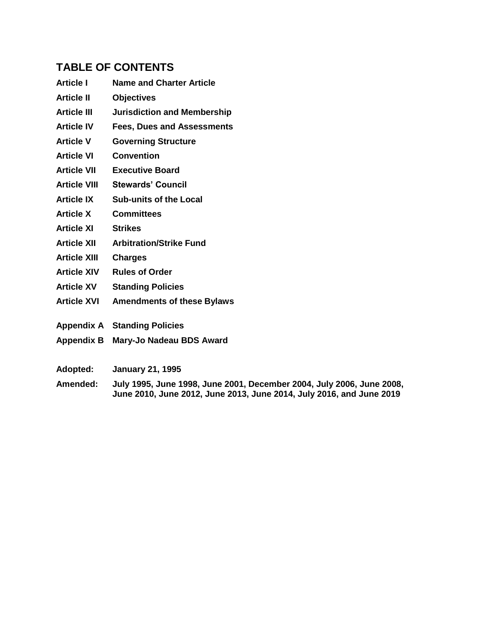# **TABLE OF CONTENTS**

- **Article I Name and Charter Article**
- **Article II Objectives**
- **Article III Jurisdiction and Membership**
- **Article IV Fees, Dues and Assessments**
- **Article V Governing Structure**
- **Article VI Convention**
- **Article VII Executive Board**
- **Article VIII Stewards' Council**
- **Article IX Sub-units of the Local**
- **Article X Committees**
- **Article XI Strikes**
- **Article XII Arbitration/Strike Fund**
- **Article XIII Charges**
- **Article XIV Rules of Order**
- **Article XV Standing Policies**
- **Article XVI Amendments of these Bylaws**
- **Appendix A Standing Policies**
- **Appendix B Mary-Jo Nadeau BDS Award**
- **Adopted: January 21, 1995**
- **Amended: July 1995, June 1998, June 2001, December 2004, July 2006, June 2008, June 2010, June 2012, June 2013, June 2014, July 2016, and June 2019**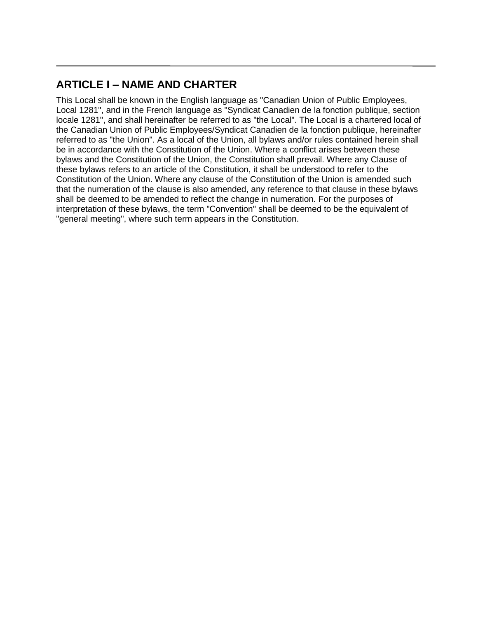# **ARTICLE I – NAME AND CHARTER**

This Local shall be known in the English language as "Canadian Union of Public Employees, Local 1281", and in the French language as "Syndicat Canadien de la fonction publique, section locale 1281", and shall hereinafter be referred to as "the Local". The Local is a chartered local of the Canadian Union of Public Employees/Syndicat Canadien de la fonction publique, hereinafter referred to as "the Union". As a local of the Union, all bylaws and/or rules contained herein shall be in accordance with the Constitution of the Union. Where a conflict arises between these bylaws and the Constitution of the Union, the Constitution shall prevail. Where any Clause of these bylaws refers to an article of the Constitution, it shall be understood to refer to the Constitution of the Union. Where any clause of the Constitution of the Union is amended such that the numeration of the clause is also amended, any reference to that clause in these bylaws shall be deemed to be amended to reflect the change in numeration. For the purposes of interpretation of these bylaws, the term "Convention" shall be deemed to be the equivalent of "general meeting", where such term appears in the Constitution.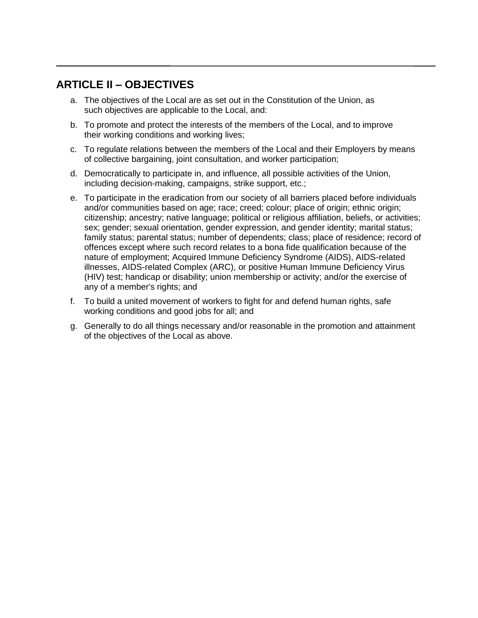# **ARTICLE II – OBJECTIVES**

- a. The objectives of the Local are as set out in the Constitution of the Union, as such objectives are applicable to the Local, and:
- b. To promote and protect the interests of the members of the Local, and to improve their working conditions and working lives;
- c. To regulate relations between the members of the Local and their Employers by means of collective bargaining, joint consultation, and worker participation;
- d. Democratically to participate in, and influence, all possible activities of the Union, including decision-making, campaigns, strike support, etc.;
- e. To participate in the eradication from our society of all barriers placed before individuals and/or communities based on age; race; creed; colour; place of origin; ethnic origin; citizenship; ancestry; native language; political or religious affiliation, beliefs, or activities; sex; gender; sexual orientation, gender expression, and gender identity; marital status; family status; parental status; number of dependents; class; place of residence; record of offences except where such record relates to a bona fide qualification because of the nature of employment; Acquired Immune Deficiency Syndrome (AIDS), AIDS-related illnesses, AIDS-related Complex (ARC), or positive Human Immune Deficiency Virus (HIV) test; handicap or disability; union membership or activity; and/or the exercise of any of a member's rights; and
- f. To build a united movement of workers to fight for and defend human rights, safe working conditions and good jobs for all; and
- g. Generally to do all things necessary and/or reasonable in the promotion and attainment of the objectives of the Local as above.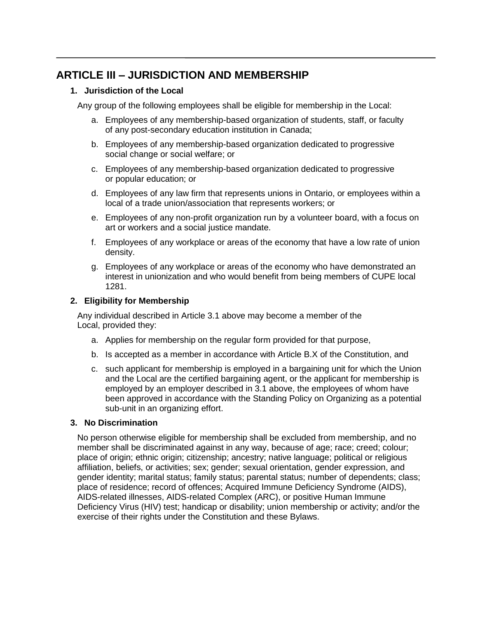# **ARTICLE III – JURISDICTION AND MEMBERSHIP**

# **1. Jurisdiction of the Local**

Any group of the following employees shall be eligible for membership in the Local:

- a. Employees of any membership-based organization of students, staff, or faculty of any post-secondary education institution in Canada;
- b. Employees of any membership-based organization dedicated to progressive social change or social welfare; or
- c. Employees of any membership-based organization dedicated to progressive or popular education; or
- d. Employees of any law firm that represents unions in Ontario, or employees within a local of a trade union/association that represents workers; or
- e. Employees of any non-profit organization run by a volunteer board, with a focus on art or workers and a social justice mandate.
- f. Employees of any workplace or areas of the economy that have a low rate of union density.
- g. Employees of any workplace or areas of the economy who have demonstrated an interest in unionization and who would benefit from being members of CUPE local 1281.

# **2. Eligibility for Membership**

Any individual described in Article 3.1 above may become a member of the Local, provided they:

- a. Applies for membership on the regular form provided for that purpose,
- b. Is accepted as a member in accordance with Article B.X of the Constitution, and
- c. such applicant for membership is employed in a bargaining unit for which the Union and the Local are the certified bargaining agent, or the applicant for membership is employed by an employer described in 3.1 above, the employees of whom have been approved in accordance with the Standing Policy on Organizing as a potential sub-unit in an organizing effort.

## **3. No Discrimination**

No person otherwise eligible for membership shall be excluded from membership, and no member shall be discriminated against in any way, because of age; race; creed; colour; place of origin; ethnic origin; citizenship; ancestry; native language; political or religious affiliation, beliefs, or activities; sex; gender; sexual orientation, gender expression, and gender identity; marital status; family status; parental status; number of dependents; class; place of residence; record of offences; Acquired Immune Deficiency Syndrome (AIDS), AIDS-related illnesses, AIDS-related Complex (ARC), or positive Human Immune Deficiency Virus (HIV) test; handicap or disability; union membership or activity; and/or the exercise of their rights under the Constitution and these Bylaws.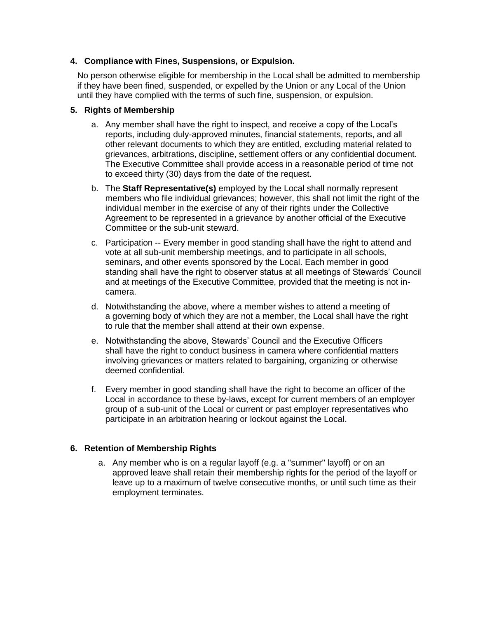## **4. Compliance with Fines, Suspensions, or Expulsion.**

No person otherwise eligible for membership in the Local shall be admitted to membership if they have been fined, suspended, or expelled by the Union or any Local of the Union until they have complied with the terms of such fine, suspension, or expulsion.

## **5. Rights of Membership**

- a. Any member shall have the right to inspect, and receive a copy of the Local's reports, including duly-approved minutes, financial statements, reports, and all other relevant documents to which they are entitled, excluding material related to grievances, arbitrations, discipline, settlement offers or any confidential document. The Executive Committee shall provide access in a reasonable period of time not to exceed thirty (30) days from the date of the request.
- b. The **Staff Representative(s)** employed by the Local shall normally represent members who file individual grievances; however, this shall not limit the right of the individual member in the exercise of any of their rights under the Collective Agreement to be represented in a grievance by another official of the Executive Committee or the sub-unit steward.
- c. Participation -- Every member in good standing shall have the right to attend and vote at all sub-unit membership meetings, and to participate in all schools, seminars, and other events sponsored by the Local. Each member in good standing shall have the right to observer status at all meetings of Stewards' Council and at meetings of the Executive Committee, provided that the meeting is not incamera.
- d. Notwithstanding the above, where a member wishes to attend a meeting of a governing body of which they are not a member, the Local shall have the right to rule that the member shall attend at their own expense.
- e. Notwithstanding the above, Stewards' Council and the Executive Officers shall have the right to conduct business in camera where confidential matters involving grievances or matters related to bargaining, organizing or otherwise deemed confidential.
- f. Every member in good standing shall have the right to become an officer of the Local in accordance to these by-laws, except for current members of an employer group of a sub-unit of the Local or current or past employer representatives who participate in an arbitration hearing or lockout against the Local.

## **6. Retention of Membership Rights**

a. Any member who is on a regular layoff (e.g. a "summer" layoff) or on an approved leave shall retain their membership rights for the period of the layoff or leave up to a maximum of twelve consecutive months, or until such time as their employment terminates.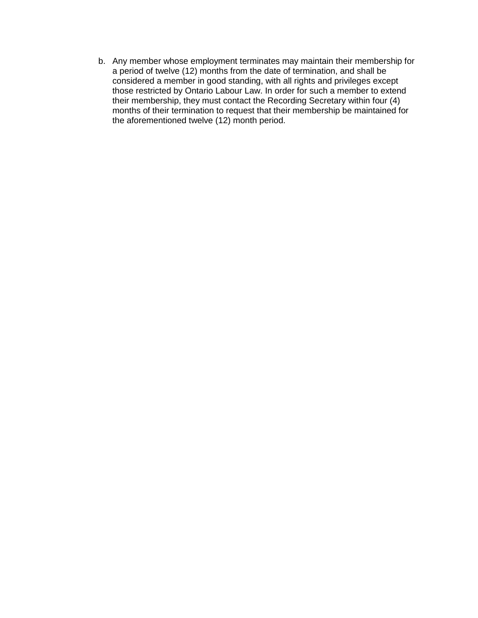b. Any member whose employment terminates may maintain their membership for a period of twelve (12) months from the date of termination, and shall be considered a member in good standing, with all rights and privileges except those restricted by Ontario Labour Law. In order for such a member to extend their membership, they must contact the Recording Secretary within four (4) months of their termination to request that their membership be maintained for the aforementioned twelve (12) month period.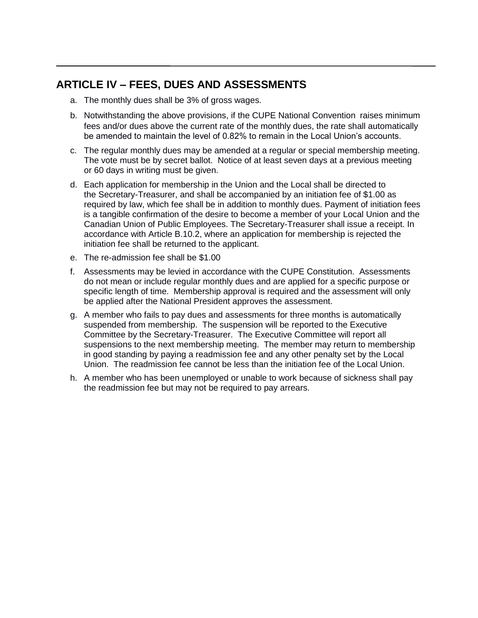# **ARTICLE IV – FEES, DUES AND ASSESSMENTS**

- a. The monthly dues shall be 3% of gross wages.
- b. Notwithstanding the above provisions, if the CUPE National Convention raises minimum fees and/or dues above the current rate of the monthly dues, the rate shall automatically be amended to maintain the level of 0.82% to remain in the Local Union's accounts.
- c. The regular monthly dues may be amended at a regular or special membership meeting. The vote must be by secret ballot. Notice of at least seven days at a previous meeting or 60 days in writing must be given.
- d. Each application for membership in the Union and the Local shall be directed to the Secretary-Treasurer, and shall be accompanied by an initiation fee of \$1.00 as required by law, which fee shall be in addition to monthly dues. Payment of initiation fees is a tangible confirmation of the desire to become a member of your Local Union and the Canadian Union of Public Employees. The Secretary-Treasurer shall issue a receipt. In accordance with Article B.10.2, where an application for membership is rejected the initiation fee shall be returned to the applicant.
- e. The re-admission fee shall be \$1.00
- f. Assessments may be levied in accordance with the CUPE Constitution. Assessments do not mean or include regular monthly dues and are applied for a specific purpose or specific length of time. Membership approval is required and the assessment will only be applied after the National President approves the assessment.
- g. A member who fails to pay dues and assessments for three months is automatically suspended from membership. The suspension will be reported to the Executive Committee by the Secretary-Treasurer. The Executive Committee will report all suspensions to the next membership meeting. The member may return to membership in good standing by paying a readmission fee and any other penalty set by the Local Union. The readmission fee cannot be less than the initiation fee of the Local Union.
- h. A member who has been unemployed or unable to work because of sickness shall pay the readmission fee but may not be required to pay arrears.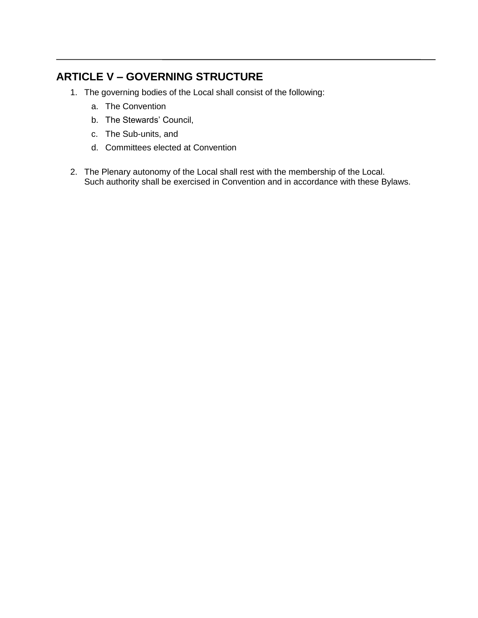# **ARTICLE V – GOVERNING STRUCTURE**

- 1. The governing bodies of the Local shall consist of the following:
	- a. The Convention
	- b. The Stewards' Council,
	- c. The Sub-units, and
	- d. Committees elected at Convention
- 2. The Plenary autonomy of the Local shall rest with the membership of the Local. Such authority shall be exercised in Convention and in accordance with these Bylaws.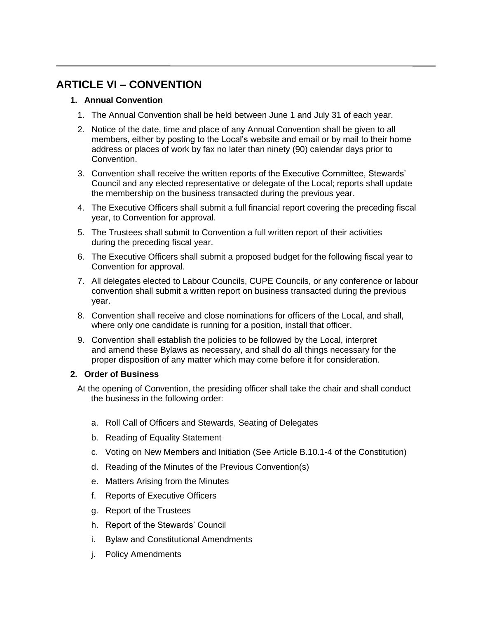# **ARTICLE VI – CONVENTION**

# **1. Annual Convention**

- 1. The Annual Convention shall be held between June 1 and July 31 of each year.
- 2. Notice of the date, time and place of any Annual Convention shall be given to all members, either by posting to the Local's website and email or by mail to their home address or places of work by fax no later than ninety (90) calendar days prior to Convention.
- 3. Convention shall receive the written reports of the Executive Committee, Stewards' Council and any elected representative or delegate of the Local; reports shall update the membership on the business transacted during the previous year.
- 4. The Executive Officers shall submit a full financial report covering the preceding fiscal year, to Convention for approval.
- 5. The Trustees shall submit to Convention a full written report of their activities during the preceding fiscal year.
- 6. The Executive Officers shall submit a proposed budget for the following fiscal year to Convention for approval.
- 7. All delegates elected to Labour Councils, CUPE Councils, or any conference or labour convention shall submit a written report on business transacted during the previous year.
- 8. Convention shall receive and close nominations for officers of the Local, and shall, where only one candidate is running for a position, install that officer.
- 9. Convention shall establish the policies to be followed by the Local, interpret and amend these Bylaws as necessary, and shall do all things necessary for the proper disposition of any matter which may come before it for consideration.

## **2. Order of Business**

At the opening of Convention, the presiding officer shall take the chair and shall conduct the business in the following order:

- a. Roll Call of Officers and Stewards, Seating of Delegates
- b. Reading of Equality Statement
- c. Voting on New Members and Initiation (See Article B.10.1-4 of the Constitution)
- d. Reading of the Minutes of the Previous Convention(s)
- e. Matters Arising from the Minutes
- f. Reports of Executive Officers
- g. Report of the Trustees
- h. Report of the Stewards' Council
- i. Bylaw and Constitutional Amendments
- j. Policy Amendments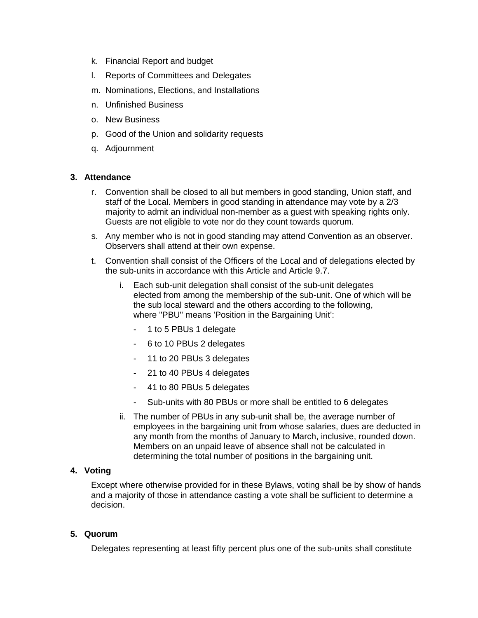- k. Financial Report and budget
- l. Reports of Committees and Delegates
- m. Nominations, Elections, and Installations
- n. Unfinished Business
- o. New Business
- p. Good of the Union and solidarity requests
- q. Adjournment

### **3. Attendance**

- r. Convention shall be closed to all but members in good standing, Union staff, and staff of the Local. Members in good standing in attendance may vote by a 2/3 majority to admit an individual non-member as a guest with speaking rights only. Guests are not eligible to vote nor do they count towards quorum.
- s. Any member who is not in good standing may attend Convention as an observer. Observers shall attend at their own expense.
- t. Convention shall consist of the Officers of the Local and of delegations elected by the sub-units in accordance with this Article and Article 9.7.
	- i. Each sub-unit delegation shall consist of the sub-unit delegates elected from among the membership of the sub-unit. One of which will be the sub local steward and the others according to the following, where "PBU" means 'Position in the Bargaining Unit':
		- 1 to 5 PBUs 1 delegate
		- 6 to 10 PBUs 2 delegates
		- 11 to 20 PBUs 3 delegates
		- 21 to 40 PBUs 4 delegates
		- 41 to 80 PBUs 5 delegates
		- Sub-units with 80 PBUs or more shall be entitled to 6 delegates
	- ii. The number of PBUs in any sub-unit shall be, the average number of employees in the bargaining unit from whose salaries, dues are deducted in any month from the months of January to March, inclusive, rounded down. Members on an unpaid leave of absence shall not be calculated in determining the total number of positions in the bargaining unit.

## **4. Voting**

Except where otherwise provided for in these Bylaws, voting shall be by show of hands and a majority of those in attendance casting a vote shall be sufficient to determine a decision.

### **5. Quorum**

Delegates representing at least fifty percent plus one of the sub-units shall constitute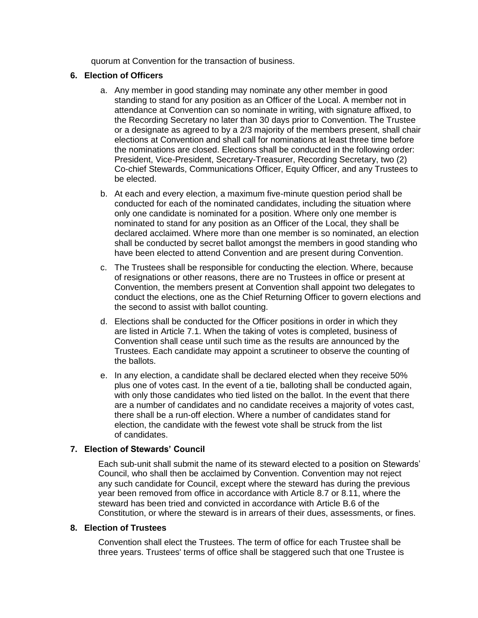quorum at Convention for the transaction of business.

## **6. Election of Officers**

- a. Any member in good standing may nominate any other member in good standing to stand for any position as an Officer of the Local. A member not in attendance at Convention can so nominate in writing, with signature affixed, to the Recording Secretary no later than 30 days prior to Convention. The Trustee or a designate as agreed to by a 2/3 majority of the members present, shall chair elections at Convention and shall call for nominations at least three time before the nominations are closed. Elections shall be conducted in the following order: President, Vice-President, Secretary-Treasurer, Recording Secretary, two (2) Co-chief Stewards, Communications Officer, Equity Officer, and any Trustees to be elected.
- b. At each and every election, a maximum five-minute question period shall be conducted for each of the nominated candidates, including the situation where only one candidate is nominated for a position. Where only one member is nominated to stand for any position as an Officer of the Local, they shall be declared acclaimed. Where more than one member is so nominated, an election shall be conducted by secret ballot amongst the members in good standing who have been elected to attend Convention and are present during Convention.
- c. The Trustees shall be responsible for conducting the election. Where, because of resignations or other reasons, there are no Trustees in office or present at Convention, the members present at Convention shall appoint two delegates to conduct the elections, one as the Chief Returning Officer to govern elections and the second to assist with ballot counting.
- d. Elections shall be conducted for the Officer positions in order in which they are listed in Article 7.1. When the taking of votes is completed, business of Convention shall cease until such time as the results are announced by the Trustees. Each candidate may appoint a scrutineer to observe the counting of the ballots.
- e. In any election, a candidate shall be declared elected when they receive 50% plus one of votes cast. In the event of a tie, balloting shall be conducted again, with only those candidates who tied listed on the ballot. In the event that there are a number of candidates and no candidate receives a majority of votes cast, there shall be a run-off election. Where a number of candidates stand for election, the candidate with the fewest vote shall be struck from the list of candidates.

# **7. Election of Stewards' Council**

Each sub-unit shall submit the name of its steward elected to a position on Stewards' Council, who shall then be acclaimed by Convention. Convention may not reject any such candidate for Council, except where the steward has during the previous year been removed from office in accordance with Article 8.7 or 8.11, where the steward has been tried and convicted in accordance with Article B.6 of the Constitution, or where the steward is in arrears of their dues, assessments, or fines.

# **8. Election of Trustees**

Convention shall elect the Trustees. The term of office for each Trustee shall be three years. Trustees' terms of office shall be staggered such that one Trustee is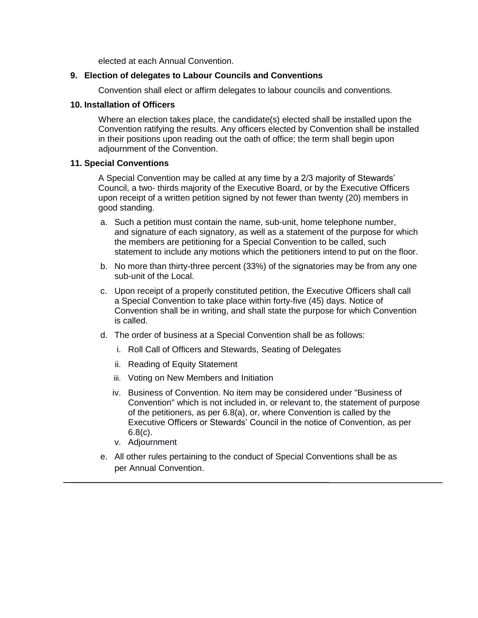elected at each Annual Convention.

### **9. Election of delegates to Labour Councils and Conventions**

Convention shall elect or affirm delegates to labour councils and conventions.

#### **10. Installation of Officers**

Where an election takes place, the candidate(s) elected shall be installed upon the Convention ratifying the results. Any officers elected by Convention shall be installed in their positions upon reading out the oath of office; the term shall begin upon adjournment of the Convention.

#### **11. Special Conventions**

A Special Convention may be called at any time by a 2/3 majority of Stewards' Council, a two- thirds majority of the Executive Board, or by the Executive Officers upon receipt of a written petition signed by not fewer than twenty (20) members in good standing.

- a. Such a petition must contain the name, sub-unit, home telephone number, and signature of each signatory, as well as a statement of the purpose for which the members are petitioning for a Special Convention to be called, such statement to include any motions which the petitioners intend to put on the floor.
- b. No more than thirty-three percent (33%) of the signatories may be from any one sub-unit of the Local.
- c. Upon receipt of a properly constituted petition, the Executive Officers shall call a Special Convention to take place within forty-five (45) days. Notice of Convention shall be in writing, and shall state the purpose for which Convention is called.
- d. The order of business at a Special Convention shall be as follows:
	- i. Roll Call of Officers and Stewards, Seating of Delegates
	- ii. Reading of Equity Statement
	- iii. Voting on New Members and Initiation
	- iv. Business of Convention. No item may be considered under "Business of Convention" which is not included in, or relevant to, the statement of purpose of the petitioners, as per 6.8(a), or, where Convention is called by the Executive Officers or Stewards' Council in the notice of Convention, as per 6.8(c).
	- v. Adjournment
- e. All other rules pertaining to the conduct of Special Conventions shall be as per Annual Convention.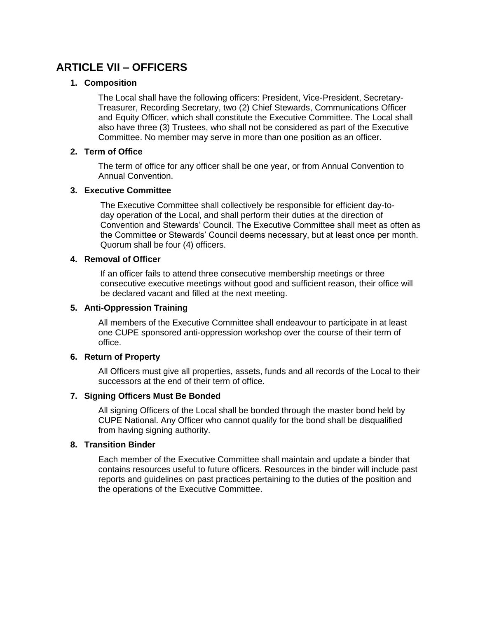# **ARTICLE VII – OFFICERS**

## **1. Composition**

The Local shall have the following officers: President, Vice-President, Secretary-Treasurer, Recording Secretary, two (2) Chief Stewards, Communications Officer and Equity Officer, which shall constitute the Executive Committee. The Local shall also have three (3) Trustees, who shall not be considered as part of the Executive Committee. No member may serve in more than one position as an officer.

### **2. Term of Office**

The term of office for any officer shall be one year, or from Annual Convention to Annual Convention.

### **3. Executive Committee**

The Executive Committee shall collectively be responsible for efficient day-today operation of the Local, and shall perform their duties at the direction of Convention and Stewards' Council. The Executive Committee shall meet as often as the Committee or Stewards' Council deems necessary, but at least once per month. Quorum shall be four (4) officers.

# **4. Removal of Officer**

If an officer fails to attend three consecutive membership meetings or three consecutive executive meetings without good and sufficient reason, their office will be declared vacant and filled at the next meeting.

## **5. Anti-Oppression Training**

All members of the Executive Committee shall endeavour to participate in at least one CUPE sponsored anti-oppression workshop over the course of their term of office.

## **6. Return of Property**

All Officers must give all properties, assets, funds and all records of the Local to their successors at the end of their term of office.

## **7. Signing Officers Must Be Bonded**

All signing Officers of the Local shall be bonded through the master bond held by CUPE National. Any Officer who cannot qualify for the bond shall be disqualified from having signing authority.

### **8. Transition Binder**

Each member of the Executive Committee shall maintain and update a binder that contains resources useful to future officers. Resources in the binder will include past reports and guidelines on past practices pertaining to the duties of the position and the operations of the Executive Committee.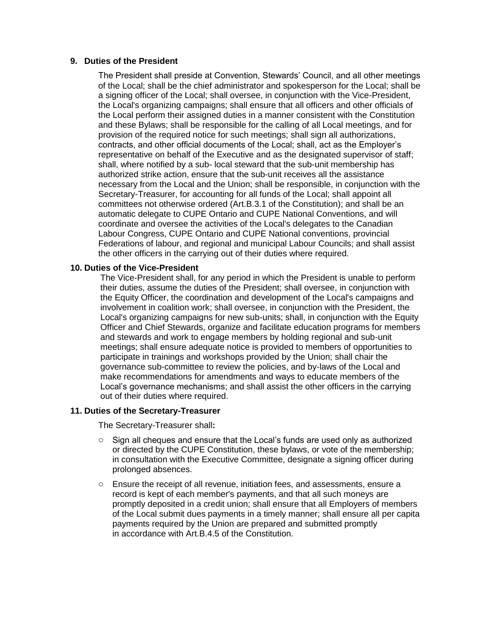#### **9. Duties of the President**

The President shall preside at Convention, Stewards' Council, and all other meetings of the Local; shall be the chief administrator and spokesperson for the Local; shall be a signing officer of the Local; shall oversee, in conjunction with the Vice-President, the Local's organizing campaigns; shall ensure that all officers and other officials of the Local perform their assigned duties in a manner consistent with the Constitution and these Bylaws; shall be responsible for the calling of all Local meetings, and for provision of the required notice for such meetings; shall sign all authorizations, contracts, and other official documents of the Local; shall, act as the Employer's representative on behalf of the Executive and as the designated supervisor of staff; shall, where notified by a sub- local steward that the sub-unit membership has authorized strike action, ensure that the sub-unit receives all the assistance necessary from the Local and the Union; shall be responsible, in conjunction with the Secretary-Treasurer, for accounting for all funds of the Local; shall appoint all committees not otherwise ordered (Art.B.3.1 of the Constitution); and shall be an automatic delegate to CUPE Ontario and CUPE National Conventions, and will coordinate and oversee the activities of the Local's delegates to the Canadian Labour Congress, CUPE Ontario and CUPE National conventions, provincial Federations of labour, and regional and municipal Labour Councils; and shall assist the other officers in the carrying out of their duties where required.

#### **10. Duties of the Vice-President**

The Vice-President shall, for any period in which the President is unable to perform their duties, assume the duties of the President; shall oversee, in conjunction with the Equity Officer, the coordination and development of the Local's campaigns and involvement in coalition work; shall oversee, in conjunction with the President, the Local's organizing campaigns for new sub-units; shall, in conjunction with the Equity Officer and Chief Stewards, organize and facilitate education programs for members and stewards and work to engage members by holding regional and sub-unit meetings; shall ensure adequate notice is provided to members of opportunities to participate in trainings and workshops provided by the Union; shall chair the governance sub-committee to review the policies, and by-laws of the Local and make recommendations for amendments and ways to educate members of the Local's governance mechanisms; and shall assist the other officers in the carrying out of their duties where required.

### **11. Duties of the Secretary-Treasurer**

The Secretary-Treasurer shall**:** 

- $\circ$  Sign all cheques and ensure that the Local's funds are used only as authorized or directed by the CUPE Constitution, these bylaws, or vote of the membership; in consultation with the Executive Committee, designate a signing officer during prolonged absences.
- o Ensure the receipt of all revenue, initiation fees, and assessments, ensure a record is kept of each member's payments, and that all such moneys are promptly deposited in a credit union; shall ensure that all Employers of members of the Local submit dues payments in a timely manner; shall ensure all per capita payments required by the Union are prepared and submitted promptly in accordance with Art.B.4.5 of the Constitution.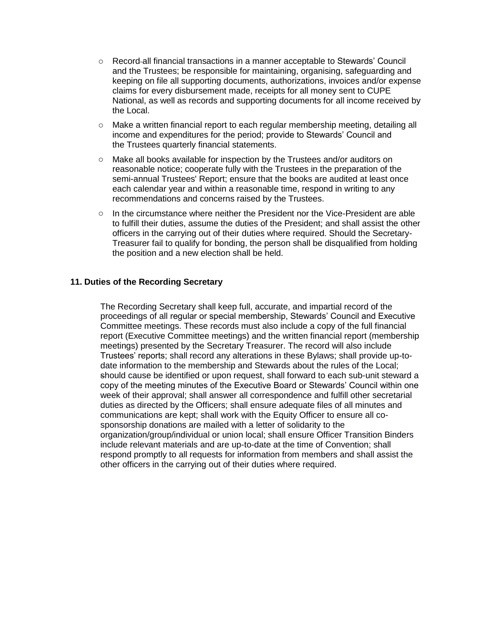- o Record all financial transactions in a manner acceptable to Stewards' Council and the Trustees; be responsible for maintaining, organising, safeguarding and keeping on file all supporting documents, authorizations, invoices and/or expense claims for every disbursement made, receipts for all money sent to CUPE National, as well as records and supporting documents for all income received by the Local.
- o Make a written financial report to each regular membership meeting, detailing all income and expenditures for the period; provide to Stewards' Council and the Trustees quarterly financial statements.
- o Make all books available for inspection by the Trustees and/or auditors on reasonable notice; cooperate fully with the Trustees in the preparation of the semi-annual Trustees' Report; ensure that the books are audited at least once each calendar year and within a reasonable time, respond in writing to any recommendations and concerns raised by the Trustees.
- $\circ$  In the circumstance where neither the President nor the Vice-President are able to fulfill their duties, assume the duties of the President; and shall assist the other officers in the carrying out of their duties where required. Should the Secretary-Treasurer fail to qualify for bonding, the person shall be disqualified from holding the position and a new election shall be held.

### **11. Duties of the Recording Secretary**

The Recording Secretary shall keep full, accurate, and impartial record of the proceedings of all regular or special membership, Stewards' Council and Executive Committee meetings. These records must also include a copy of the full financial report (Executive Committee meetings) and the written financial report (membership meetings) presented by the Secretary Treasurer. The record will also include Trustees' reports; shall record any alterations in these Bylaws; shall provide up-todate information to the membership and Stewards about the rules of the Local; should cause be identified or upon request, shall forward to each sub-unit steward a copy of the meeting minutes of the Executive Board or Stewards' Council within one week of their approval; shall answer all correspondence and fulfill other secretarial duties as directed by the Officers; shall ensure adequate files of all minutes and communications are kept; shall work with the Equity Officer to ensure all cosponsorship donations are mailed with a letter of solidarity to the organization/group/individual or union local; shall ensure Officer Transition Binders include relevant materials and are up-to-date at the time of Convention; shall respond promptly to all requests for information from members and shall assist the other officers in the carrying out of their duties where required.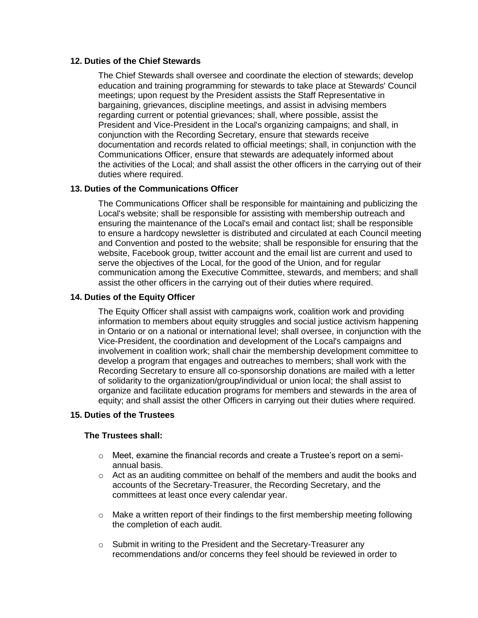### **12. Duties of the Chief Stewards**

The Chief Stewards shall oversee and coordinate the election of stewards; develop education and training programming for stewards to take place at Stewards' Council meetings; upon request by the President assists the Staff Representative in bargaining, grievances, discipline meetings, and assist in advising members regarding current or potential grievances; shall, where possible, assist the President and Vice-President in the Local's organizing campaigns; and shall, in conjunction with the Recording Secretary, ensure that stewards receive documentation and records related to official meetings; shall, in conjunction with the Communications Officer, ensure that stewards are adequately informed about the activities of the Local; and shall assist the other officers in the carrying out of their duties where required.

## **13. Duties of the Communications Officer**

The Communications Officer shall be responsible for maintaining and publicizing the Local's website; shall be responsible for assisting with membership outreach and ensuring the maintenance of the Local's email and contact list; shall be responsible to ensure a hardcopy newsletter is distributed and circulated at each Council meeting and Convention and posted to the website; shall be responsible for ensuring that the website, Facebook group, twitter account and the email list are current and used to serve the objectives of the Local, for the good of the Union, and for regular communication among the Executive Committee, stewards, and members; and shall assist the other officers in the carrying out of their duties where required.

### **14. Duties of the Equity Officer**

The Equity Officer shall assist with campaigns work, coalition work and providing information to members about equity struggles and social justice activism happening in Ontario or on a national or international level; shall oversee, in conjunction with the Vice-President, the coordination and development of the Local's campaigns and involvement in coalition work; shall chair the membership development committee to develop a program that engages and outreaches to members; shall work with the Recording Secretary to ensure all co-sponsorship donations are mailed with a letter of solidarity to the organization/group/individual or union local; the shall assist to organize and facilitate education programs for members and stewards in the area of equity; and shall assist the other Officers in carrying out their duties where required.

### **15. Duties of the Trustees**

## **The Trustees shall:**

- $\circ$  Meet, examine the financial records and create a Trustee's report on a semiannual basis.
- $\circ$  Act as an auditing committee on behalf of the members and audit the books and accounts of the Secretary-Treasurer, the Recording Secretary, and the committees at least once every calendar year.
- $\circ$  Make a written report of their findings to the first membership meeting following the completion of each audit.
- o Submit in writing to the President and the Secretary-Treasurer any recommendations and/or concerns they feel should be reviewed in order to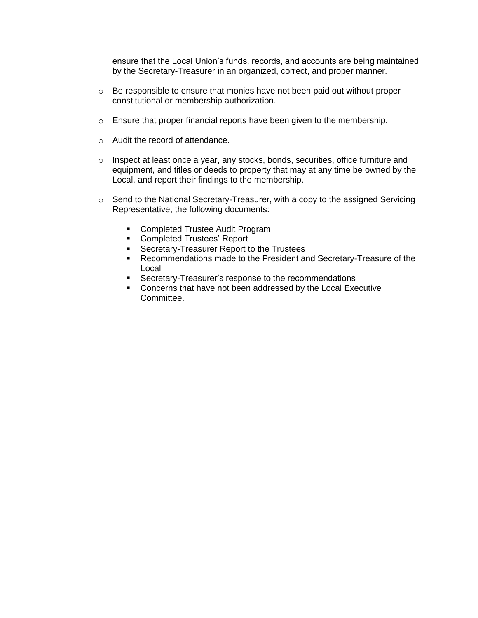ensure that the Local Union's funds, records, and accounts are being maintained by the Secretary-Treasurer in an organized, correct, and proper manner.

- $\circ$  Be responsible to ensure that monies have not been paid out without proper constitutional or membership authorization.
- o Ensure that proper financial reports have been given to the membership.
- o Audit the record of attendance.
- $\circ$  Inspect at least once a year, any stocks, bonds, securities, office furniture and equipment, and titles or deeds to property that may at any time be owned by the Local, and report their findings to the membership.
- o Send to the National Secretary-Treasurer, with a copy to the assigned Servicing Representative, the following documents:
	- Completed Trustee Audit Program
	- **Completed Trustees' Report**
	- **Secretary-Treasurer Report to the Trustees**
	- Recommendations made to the President and Secretary-Treasure of the Local
	- **Secretary-Treasurer's response to the recommendations**
	- **Concerns that have not been addressed by the Local Executive** Committee.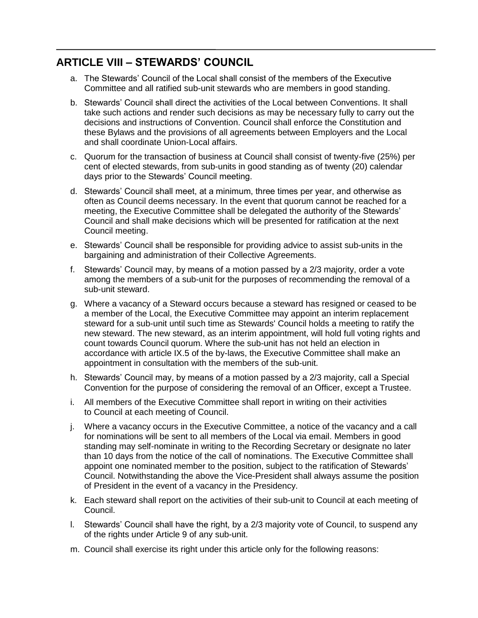# **ARTICLE VIII – STEWARDS' COUNCIL**

- a. The Stewards' Council of the Local shall consist of the members of the Executive Committee and all ratified sub-unit stewards who are members in good standing.
- b. Stewards' Council shall direct the activities of the Local between Conventions. It shall take such actions and render such decisions as may be necessary fully to carry out the decisions and instructions of Convention. Council shall enforce the Constitution and these Bylaws and the provisions of all agreements between Employers and the Local and shall coordinate Union-Local affairs.
- c. Quorum for the transaction of business at Council shall consist of twenty-five (25%) per cent of elected stewards, from sub-units in good standing as of twenty (20) calendar days prior to the Stewards' Council meeting.
- d. Stewards' Council shall meet, at a minimum, three times per year, and otherwise as often as Council deems necessary. In the event that quorum cannot be reached for a meeting, the Executive Committee shall be delegated the authority of the Stewards' Council and shall make decisions which will be presented for ratification at the next Council meeting.
- e. Stewards' Council shall be responsible for providing advice to assist sub-units in the bargaining and administration of their Collective Agreements.
- f. Stewards' Council may, by means of a motion passed by a 2/3 majority, order a vote among the members of a sub-unit for the purposes of recommending the removal of a sub-unit steward.
- g. Where a vacancy of a Steward occurs because a steward has resigned or ceased to be a member of the Local, the Executive Committee may appoint an interim replacement steward for a sub-unit until such time as Stewards' Council holds a meeting to ratify the new steward. The new steward, as an interim appointment, will hold full voting rights and count towards Council quorum. Where the sub-unit has not held an election in accordance with article IX.5 of the by-laws, the Executive Committee shall make an appointment in consultation with the members of the sub-unit.
- h. Stewards' Council may, by means of a motion passed by a 2/3 majority, call a Special Convention for the purpose of considering the removal of an Officer, except a Trustee.
- i. All members of the Executive Committee shall report in writing on their activities to Council at each meeting of Council.
- j. Where a vacancy occurs in the Executive Committee, a notice of the vacancy and a call for nominations will be sent to all members of the Local via email. Members in good standing may self-nominate in writing to the Recording Secretary or designate no later than 10 days from the notice of the call of nominations. The Executive Committee shall appoint one nominated member to the position, subject to the ratification of Stewards' Council. Notwithstanding the above the Vice-President shall always assume the position of President in the event of a vacancy in the Presidency.
- k. Each steward shall report on the activities of their sub-unit to Council at each meeting of Council.
- l. Stewards' Council shall have the right, by a 2/3 majority vote of Council, to suspend any of the rights under Article 9 of any sub-unit.
- m. Council shall exercise its right under this article only for the following reasons: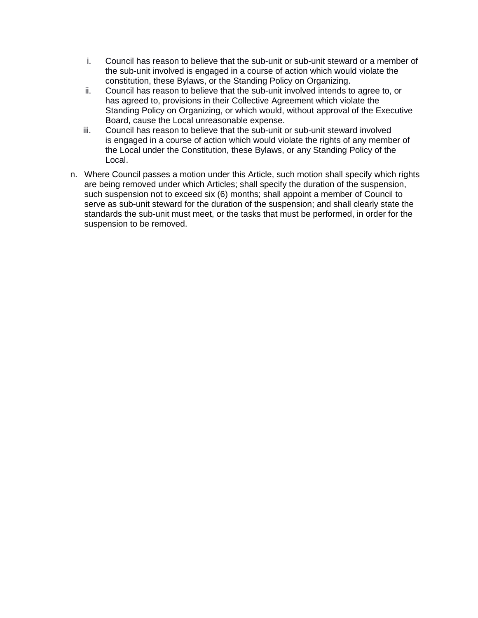- i. Council has reason to believe that the sub-unit or sub-unit steward or a member of the sub-unit involved is engaged in a course of action which would violate the constitution, these Bylaws, or the Standing Policy on Organizing.
- ii. Council has reason to believe that the sub-unit involved intends to agree to, or has agreed to, provisions in their Collective Agreement which violate the Standing Policy on Organizing, or which would, without approval of the Executive Board, cause the Local unreasonable expense.
- iii. Council has reason to believe that the sub-unit or sub-unit steward involved is engaged in a course of action which would violate the rights of any member of the Local under the Constitution, these Bylaws, or any Standing Policy of the Local.
- n. Where Council passes a motion under this Article, such motion shall specify which rights are being removed under which Articles; shall specify the duration of the suspension, such suspension not to exceed six (6) months; shall appoint a member of Council to serve as sub-unit steward for the duration of the suspension; and shall clearly state the standards the sub-unit must meet, or the tasks that must be performed, in order for the suspension to be removed.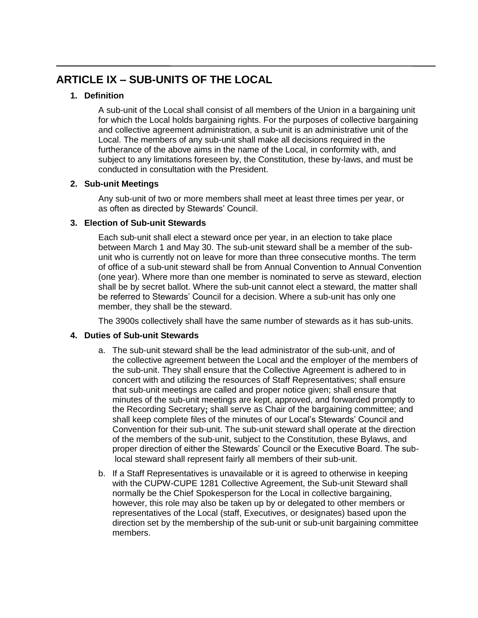# **ARTICLE IX – SUB-UNITS OF THE LOCAL**

# **1. Definition**

A sub-unit of the Local shall consist of all members of the Union in a bargaining unit for which the Local holds bargaining rights. For the purposes of collective bargaining and collective agreement administration, a sub-unit is an administrative unit of the Local. The members of any sub-unit shall make all decisions required in the furtherance of the above aims in the name of the Local, in conformity with, and subject to any limitations foreseen by, the Constitution, these by-laws, and must be conducted in consultation with the President.

# **2. Sub-unit Meetings**

Any sub-unit of two or more members shall meet at least three times per year, or as often as directed by Stewards' Council.

# **3. Election of Sub-unit Stewards**

Each sub-unit shall elect a steward once per year, in an election to take place between March 1 and May 30. The sub-unit steward shall be a member of the subunit who is currently not on leave for more than three consecutive months. The term of office of a sub-unit steward shall be from Annual Convention to Annual Convention (one year). Where more than one member is nominated to serve as steward, election shall be by secret ballot. Where the sub-unit cannot elect a steward, the matter shall be referred to Stewards' Council for a decision. Where a sub-unit has only one member, they shall be the steward.

The 3900s collectively shall have the same number of stewards as it has sub-units.

# **4. Duties of Sub-unit Stewards**

- a. The sub-unit steward shall be the lead administrator of the sub-unit, and of the collective agreement between the Local and the employer of the members of the sub-unit. They shall ensure that the Collective Agreement is adhered to in concert with and utilizing the resources of Staff Representatives; shall ensure that sub-unit meetings are called and proper notice given; shall ensure that minutes of the sub-unit meetings are kept, approved, and forwarded promptly to the Recording Secretary**;** shall serve as Chair of the bargaining committee; and shall keep complete files of the minutes of our Local's Stewards' Council and Convention for their sub-unit. The sub-unit steward shall operate at the direction of the members of the sub-unit, subject to the Constitution, these Bylaws, and proper direction of either the Stewards' Council or the Executive Board. The sublocal steward shall represent fairly all members of their sub-unit.
- b. If a Staff Representatives is unavailable or it is agreed to otherwise in keeping with the CUPW-CUPE 1281 Collective Agreement, the Sub-unit Steward shall normally be the Chief Spokesperson for the Local in collective bargaining, however, this role may also be taken up by or delegated to other members or representatives of the Local (staff, Executives, or designates) based upon the direction set by the membership of the sub-unit or sub-unit bargaining committee members.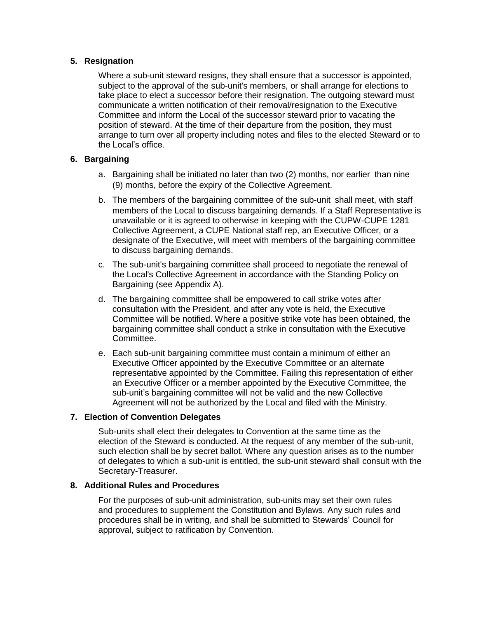## **5. Resignation**

Where a sub-unit steward resigns, they shall ensure that a successor is appointed, subject to the approval of the sub-unit's members, or shall arrange for elections to take place to elect a successor before their resignation. The outgoing steward must communicate a written notification of their removal/resignation to the Executive Committee and inform the Local of the successor steward prior to vacating the position of steward. At the time of their departure from the position, they must arrange to turn over all property including notes and files to the elected Steward or to the Local's office.

## **6. Bargaining**

- a. Bargaining shall be initiated no later than two (2) months, nor earlier than nine (9) months, before the expiry of the Collective Agreement.
- b. The members of the bargaining committee of the sub-unit shall meet, with staff members of the Local to discuss bargaining demands. If a Staff Representative is unavailable or it is agreed to otherwise in keeping with the CUPW-CUPE 1281 Collective Agreement, a CUPE National staff rep, an Executive Officer, or a designate of the Executive, will meet with members of the bargaining committee to discuss bargaining demands.
- c. The sub-unit's bargaining committee shall proceed to negotiate the renewal of the Local's Collective Agreement in accordance with the Standing Policy on Bargaining (see Appendix A).
- d. The bargaining committee shall be empowered to call strike votes after consultation with the President, and after any vote is held, the Executive Committee will be notified. Where a positive strike vote has been obtained, the bargaining committee shall conduct a strike in consultation with the Executive Committee.
- e. Each sub-unit bargaining committee must contain a minimum of either an Executive Officer appointed by the Executive Committee or an alternate representative appointed by the Committee. Failing this representation of either an Executive Officer or a member appointed by the Executive Committee, the sub-unit's bargaining committee will not be valid and the new Collective Agreement will not be authorized by the Local and filed with the Ministry.

## **7. Election of Convention Delegates**

Sub-units shall elect their delegates to Convention at the same time as the election of the Steward is conducted. At the request of any member of the sub-unit, such election shall be by secret ballot. Where any question arises as to the number of delegates to which a sub-unit is entitled, the sub-unit steward shall consult with the Secretary-Treasurer.

## **8. Additional Rules and Procedures**

For the purposes of sub-unit administration, sub-units may set their own rules and procedures to supplement the Constitution and Bylaws. Any such rules and procedures shall be in writing, and shall be submitted to Stewards' Council for approval, subject to ratification by Convention.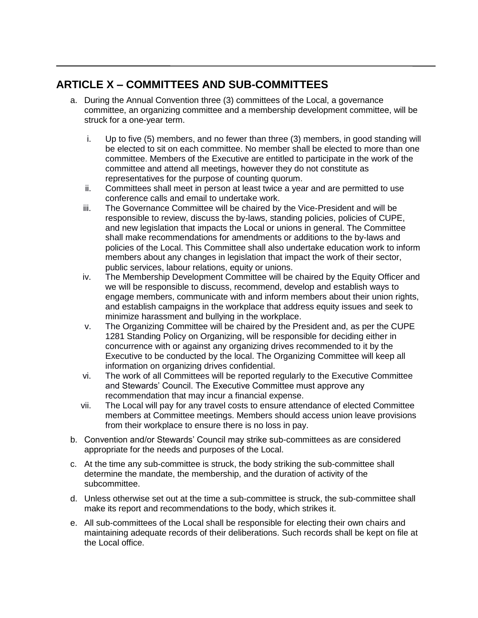# **ARTICLE X – COMMITTEES AND SUB-COMMITTEES**

- a. During the Annual Convention three (3) committees of the Local, a governance committee, an organizing committee and a membership development committee, will be struck for a one-year term.
	- i. Up to five (5) members, and no fewer than three (3) members, in good standing will be elected to sit on each committee. No member shall be elected to more than one committee. Members of the Executive are entitled to participate in the work of the committee and attend all meetings, however they do not constitute as representatives for the purpose of counting quorum.
	- ii. Committees shall meet in person at least twice a year and are permitted to use conference calls and email to undertake work.
	- iii. The Governance Committee will be chaired by the Vice-President and will be responsible to review, discuss the by-laws, standing policies, policies of CUPE, and new legislation that impacts the Local or unions in general. The Committee shall make recommendations for amendments or additions to the by-laws and policies of the Local. This Committee shall also undertake education work to inform members about any changes in legislation that impact the work of their sector, public services, labour relations, equity or unions.
	- iv. The Membership Development Committee will be chaired by the Equity Officer and we will be responsible to discuss, recommend, develop and establish ways to engage members, communicate with and inform members about their union rights, and establish campaigns in the workplace that address equity issues and seek to minimize harassment and bullying in the workplace.
	- v. The Organizing Committee will be chaired by the President and, as per the CUPE 1281 Standing Policy on Organizing, will be responsible for deciding either in concurrence with or against any organizing drives recommended to it by the Executive to be conducted by the local. The Organizing Committee will keep all information on organizing drives confidential.
	- vi. The work of all Committees will be reported regularly to the Executive Committee and Stewards' Council. The Executive Committee must approve any recommendation that may incur a financial expense.
	- vii. The Local will pay for any travel costs to ensure attendance of elected Committee members at Committee meetings. Members should access union leave provisions from their workplace to ensure there is no loss in pay.
- b. Convention and/or Stewards' Council may strike sub-committees as are considered appropriate for the needs and purposes of the Local.
- c. At the time any sub-committee is struck, the body striking the sub-committee shall determine the mandate, the membership, and the duration of activity of the subcommittee.
- d. Unless otherwise set out at the time a sub-committee is struck, the sub-committee shall make its report and recommendations to the body, which strikes it.
- e. All sub-committees of the Local shall be responsible for electing their own chairs and maintaining adequate records of their deliberations. Such records shall be kept on file at the Local office.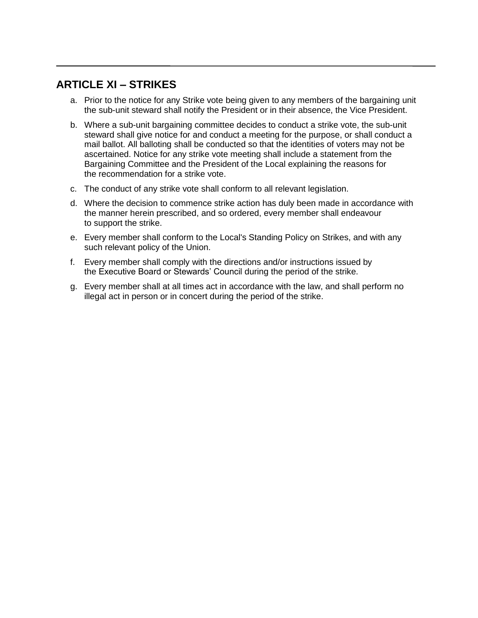# **ARTICLE XI – STRIKES**

- a. Prior to the notice for any Strike vote being given to any members of the bargaining unit the sub-unit steward shall notify the President or in their absence, the Vice President.
- b. Where a sub-unit bargaining committee decides to conduct a strike vote, the sub-unit steward shall give notice for and conduct a meeting for the purpose, or shall conduct a mail ballot. All balloting shall be conducted so that the identities of voters may not be ascertained. Notice for any strike vote meeting shall include a statement from the Bargaining Committee and the President of the Local explaining the reasons for the recommendation for a strike vote.
- c. The conduct of any strike vote shall conform to all relevant legislation.
- d. Where the decision to commence strike action has duly been made in accordance with the manner herein prescribed, and so ordered, every member shall endeavour to support the strike.
- e. Every member shall conform to the Local's Standing Policy on Strikes, and with any such relevant policy of the Union.
- f. Every member shall comply with the directions and/or instructions issued by the Executive Board or Stewards' Council during the period of the strike.
- g. Every member shall at all times act in accordance with the law, and shall perform no illegal act in person or in concert during the period of the strike.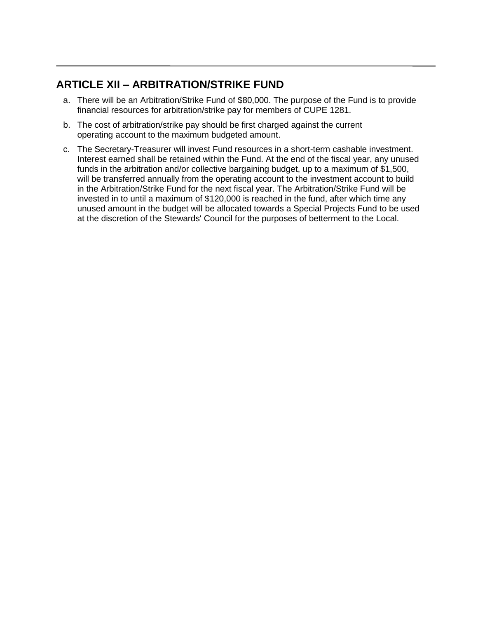# **ARTICLE XII – ARBITRATION/STRIKE FUND**

- a. There will be an Arbitration/Strike Fund of \$80,000. The purpose of the Fund is to provide financial resources for arbitration/strike pay for members of CUPE 1281.
- b. The cost of arbitration/strike pay should be first charged against the current operating account to the maximum budgeted amount.
- c. The Secretary-Treasurer will invest Fund resources in a short-term cashable investment. Interest earned shall be retained within the Fund. At the end of the fiscal year, any unused funds in the arbitration and/or collective bargaining budget, up to a maximum of \$1,500, will be transferred annually from the operating account to the investment account to build in the Arbitration/Strike Fund for the next fiscal year. The Arbitration/Strike Fund will be invested in to until a maximum of \$120,000 is reached in the fund, after which time any unused amount in the budget will be allocated towards a Special Projects Fund to be used at the discretion of the Stewards' Council for the purposes of betterment to the Local.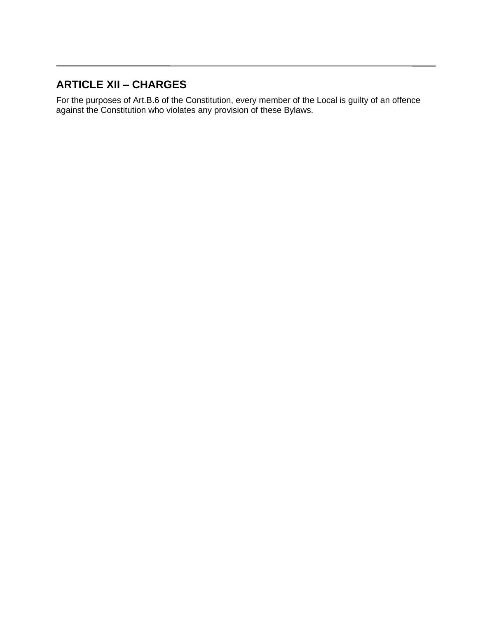# **ARTICLE XII – CHARGES**

For the purposes of Art.B.6 of the Constitution, every member of the Local is guilty of an offence against the Constitution who violates any provision of these Bylaws.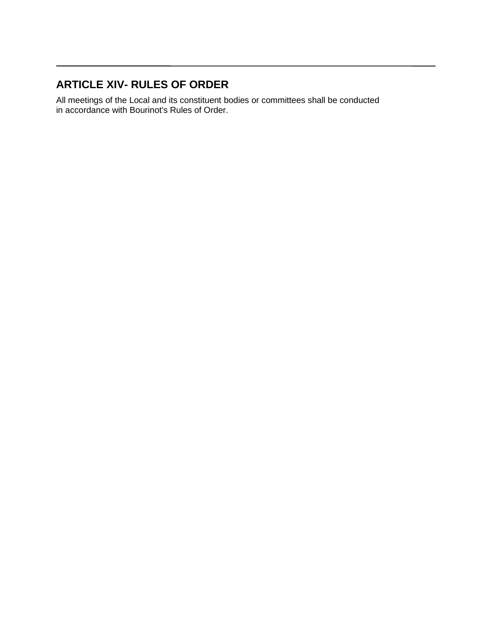# **ARTICLE XIV- RULES OF ORDER**

All meetings of the Local and its constituent bodies or committees shall be conducted in accordance with Bourinot's Rules of Order.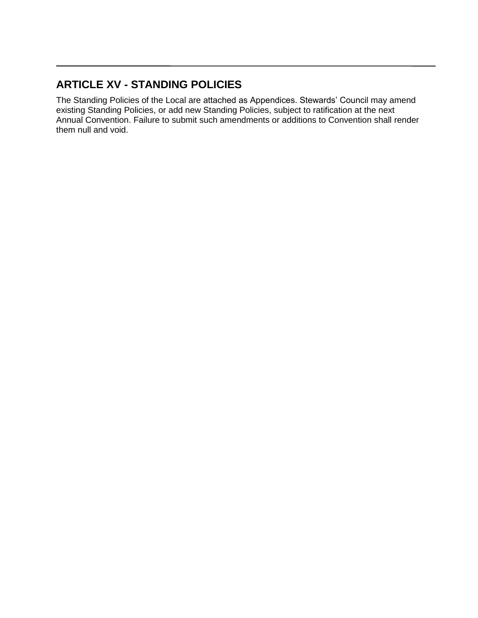# **ARTICLE XV - STANDING POLICIES**

The Standing Policies of the Local are attached as Appendices. Stewards' Council may amend existing Standing Policies, or add new Standing Policies, subject to ratification at the next Annual Convention. Failure to submit such amendments or additions to Convention shall render them null and void.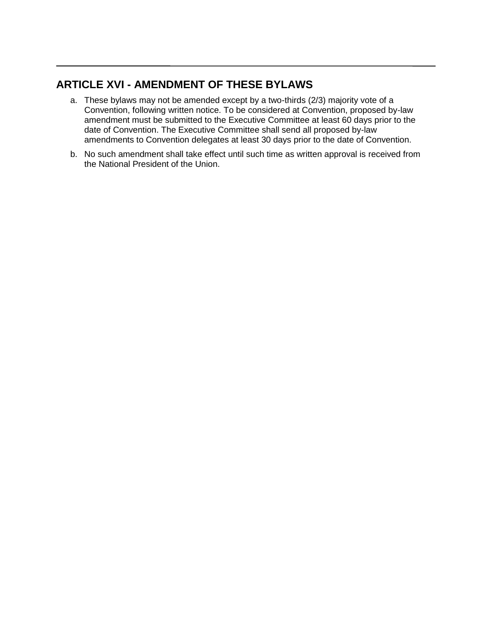# **ARTICLE XVI - AMENDMENT OF THESE BYLAWS**

- a. These bylaws may not be amended except by a two-thirds (2/3) majority vote of a Convention, following written notice. To be considered at Convention, proposed by-law amendment must be submitted to the Executive Committee at least 60 days prior to the date of Convention. The Executive Committee shall send all proposed by-law amendments to Convention delegates at least 30 days prior to the date of Convention.
- b. No such amendment shall take effect until such time as written approval is received from the National President of the Union.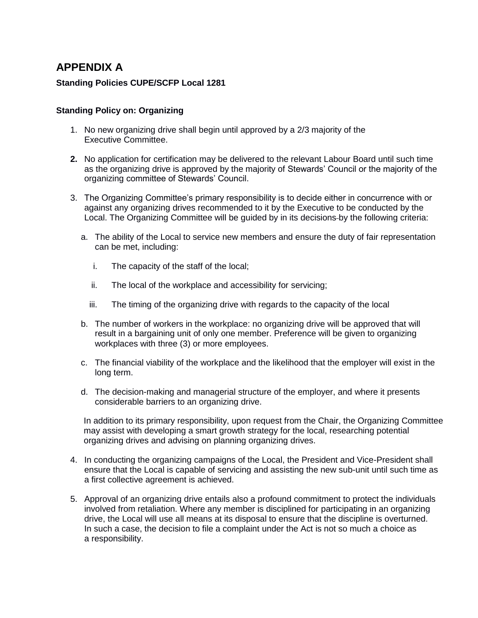# **APPENDIX A**

## **Standing Policies CUPE/SCFP Local 1281**

### **Standing Policy on: Organizing**

- 1. No new organizing drive shall begin until approved by a 2/3 majority of the Executive Committee.
- **2.** No application for certification may be delivered to the relevant Labour Board until such time as the organizing drive is approved by the majority of Stewards' Council or the majority of the organizing committee of Stewards' Council.
- 3. The Organizing Committee's primary responsibility is to decide either in concurrence with or against any organizing drives recommended to it by the Executive to be conducted by the Local. The Organizing Committee will be guided by in its decisions by the following criteria:
	- a. The ability of the Local to service new members and ensure the duty of fair representation can be met, including:
		- i. The capacity of the staff of the local;
		- ii. The local of the workplace and accessibility for servicing;
		- iii. The timing of the organizing drive with regards to the capacity of the local
	- b. The number of workers in the workplace: no organizing drive will be approved that will result in a bargaining unit of only one member. Preference will be given to organizing workplaces with three (3) or more employees.
	- c. The financial viability of the workplace and the likelihood that the employer will exist in the long term.
	- d. The decision-making and managerial structure of the employer, and where it presents considerable barriers to an organizing drive.

In addition to its primary responsibility, upon request from the Chair, the Organizing Committee may assist with developing a smart growth strategy for the local, researching potential organizing drives and advising on planning organizing drives.

- 4. In conducting the organizing campaigns of the Local, the President and Vice-President shall ensure that the Local is capable of servicing and assisting the new sub-unit until such time as a first collective agreement is achieved.
- 5. Approval of an organizing drive entails also a profound commitment to protect the individuals involved from retaliation. Where any member is disciplined for participating in an organizing drive, the Local will use all means at its disposal to ensure that the discipline is overturned. In such a case, the decision to file a complaint under the Act is not so much a choice as a responsibility.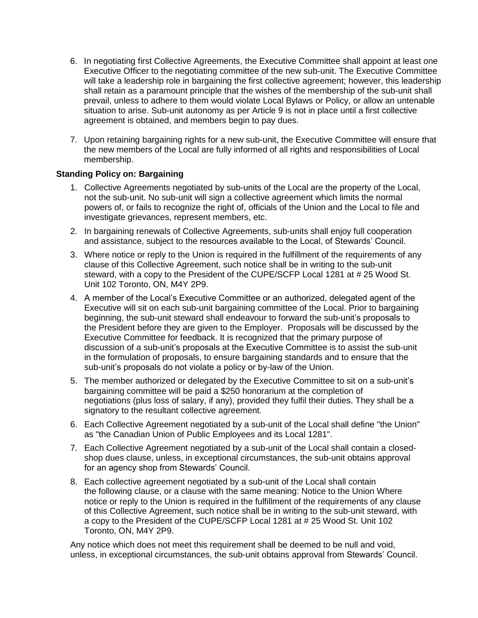- 6. In negotiating first Collective Agreements, the Executive Committee shall appoint at least one Executive Officer to the negotiating committee of the new sub-unit. The Executive Committee will take a leadership role in bargaining the first collective agreement; however, this leadership shall retain as a paramount principle that the wishes of the membership of the sub-unit shall prevail, unless to adhere to them would violate Local Bylaws or Policy, or allow an untenable situation to arise. Sub-unit autonomy as per Article 9 is not in place until a first collective agreement is obtained, and members begin to pay dues.
- 7. Upon retaining bargaining rights for a new sub-unit, the Executive Committee will ensure that the new members of the Local are fully informed of all rights and responsibilities of Local membership.

## **Standing Policy on: Bargaining**

- 1. Collective Agreements negotiated by sub-units of the Local are the property of the Local, not the sub-unit. No sub-unit will sign a collective agreement which limits the normal powers of, or fails to recognize the right of, officials of the Union and the Local to file and investigate grievances, represent members, etc.
- 2. In bargaining renewals of Collective Agreements, sub-units shall enjoy full cooperation and assistance, subject to the resources available to the Local, of Stewards' Council.
- 3. Where notice or reply to the Union is required in the fulfillment of the requirements of any clause of this Collective Agreement, such notice shall be in writing to the sub-unit steward, with a copy to the President of the CUPE/SCFP Local 1281 at # 25 Wood St. Unit 102 Toronto, ON, M4Y 2P9.
- 4. A member of the Local's Executive Committee or an authorized, delegated agent of the Executive will sit on each sub-unit bargaining committee of the Local. Prior to bargaining beginning, the sub-unit steward shall endeavour to forward the sub-unit's proposals to the President before they are given to the Employer. Proposals will be discussed by the Executive Committee for feedback. It is recognized that the primary purpose of discussion of a sub-unit's proposals at the Executive Committee is to assist the sub-unit in the formulation of proposals, to ensure bargaining standards and to ensure that the sub-unit's proposals do not violate a policy or by-law of the Union.
- 5. The member authorized or delegated by the Executive Committee to sit on a sub-unit's bargaining committee will be paid a \$250 honorarium at the completion of negotiations (plus loss of salary, if any), provided they fulfil their duties. They shall be a signatory to the resultant collective agreement.
- 6. Each Collective Agreement negotiated by a sub-unit of the Local shall define "the Union" as "the Canadian Union of Public Employees and its Local 1281".
- 7. Each Collective Agreement negotiated by a sub-unit of the Local shall contain a closedshop dues clause, unless, in exceptional circumstances, the sub-unit obtains approval for an agency shop from Stewards' Council.
- 8. Each collective agreement negotiated by a sub-unit of the Local shall contain the following clause, or a clause with the same meaning: Notice to the Union Where notice or reply to the Union is required in the fulfillment of the requirements of any clause of this Collective Agreement, such notice shall be in writing to the sub-unit steward, with a copy to the President of the CUPE/SCFP Local 1281 at # 25 Wood St. Unit 102 Toronto, ON, M4Y 2P9.

Any notice which does not meet this requirement shall be deemed to be null and void, unless, in exceptional circumstances, the sub-unit obtains approval from Stewards' Council.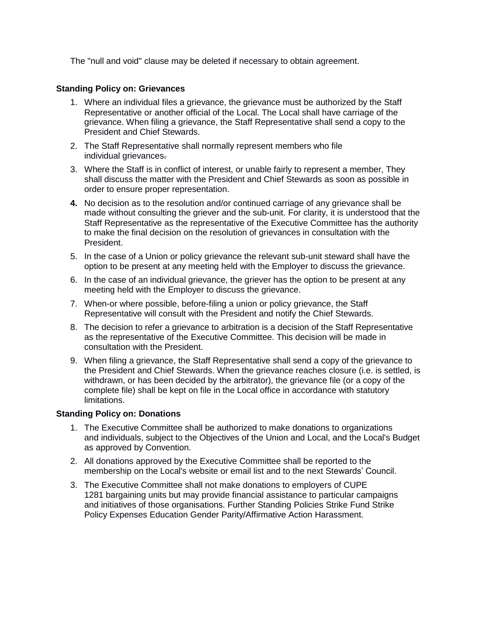The "null and void" clause may be deleted if necessary to obtain agreement.

### **Standing Policy on: Grievances**

- 1. Where an individual files a grievance, the grievance must be authorized by the Staff Representative or another official of the Local. The Local shall have carriage of the grievance. When filing a grievance, the Staff Representative shall send a copy to the President and Chief Stewards.
- 2. The Staff Representative shall normally represent members who file individual grievances.
- 3. Where the Staff is in conflict of interest, or unable fairly to represent a member, They shall discuss the matter with the President and Chief Stewards as soon as possible in order to ensure proper representation.
- **4.** No decision as to the resolution and/or continued carriage of any grievance shall be made without consulting the griever and the sub-unit. For clarity, it is understood that the Staff Representative as the representative of the Executive Committee has the authority to make the final decision on the resolution of grievances in consultation with the President.
- 5. In the case of a Union or policy grievance the relevant sub-unit steward shall have the option to be present at any meeting held with the Employer to discuss the grievance.
- 6. In the case of an individual grievance, the griever has the option to be present at any meeting held with the Employer to discuss the grievance.
- 7. When-or where possible, before-filing a union or policy grievance, the Staff Representative will consult with the President and notify the Chief Stewards.
- 8. The decision to refer a grievance to arbitration is a decision of the Staff Representative as the representative of the Executive Committee. This decision will be made in consultation with the President.
- 9. When filing a grievance, the Staff Representative shall send a copy of the grievance to the President and Chief Stewards. When the grievance reaches closure (i.e. is settled, is withdrawn, or has been decided by the arbitrator), the grievance file (or a copy of the complete file) shall be kept on file in the Local office in accordance with statutory limitations.

### **Standing Policy on: Donations**

- 1. The Executive Committee shall be authorized to make donations to organizations and individuals, subject to the Objectives of the Union and Local, and the Local's Budget as approved by Convention.
- 2. All donations approved by the Executive Committee shall be reported to the membership on the Local's website or email list and to the next Stewards' Council.
- 3. The Executive Committee shall not make donations to employers of CUPE 1281 bargaining units but may provide financial assistance to particular campaigns and initiatives of those organisations. Further Standing Policies Strike Fund Strike Policy Expenses Education Gender Parity/Affirmative Action Harassment.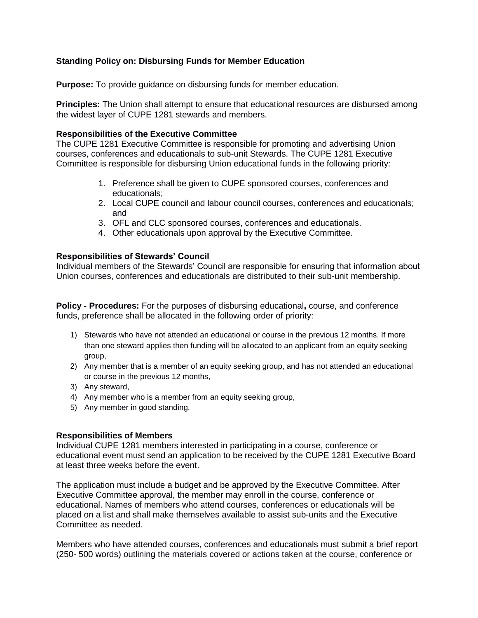## **Standing Policy on: Disbursing Funds for Member Education**

**Purpose:** To provide guidance on disbursing funds for member education.

**Principles:** The Union shall attempt to ensure that educational resources are disbursed among the widest layer of CUPE 1281 stewards and members.

### **Responsibilities of the Executive Committee**

The CUPE 1281 Executive Committee is responsible for promoting and advertising Union courses, conferences and educationals to sub-unit Stewards. The CUPE 1281 Executive Committee is responsible for disbursing Union educational funds in the following priority:

- 1. Preference shall be given to CUPE sponsored courses, conferences and educationals;
- 2. Local CUPE council and labour council courses, conferences and educationals; and
- 3. OFL and CLC sponsored courses, conferences and educationals.
- 4. Other educationals upon approval by the Executive Committee.

### **Responsibilities of Stewards' Council**

Individual members of the Stewards' Council are responsible for ensuring that information about Union courses, conferences and educationals are distributed to their sub-unit membership.

**Policy - Procedures:** For the purposes of disbursing educational**,** course, and conference funds, preference shall be allocated in the following order of priority:

- 1) Stewards who have not attended an educational or course in the previous 12 months. If more than one steward applies then funding will be allocated to an applicant from an equity seeking group,
- 2) Any member that is a member of an equity seeking group, and has not attended an educational or course in the previous 12 months,
- 3) Any steward,
- 4) Any member who is a member from an equity seeking group,
- 5) Any member in good standing.

### **Responsibilities of Members**

Individual CUPE 1281 members interested in participating in a course, conference or educational event must send an application to be received by the CUPE 1281 Executive Board at least three weeks before the event.

The application must include a budget and be approved by the Executive Committee. After Executive Committee approval, the member may enroll in the course, conference or educational. Names of members who attend courses, conferences or educationals will be placed on a list and shall make themselves available to assist sub-units and the Executive Committee as needed.

Members who have attended courses, conferences and educationals must submit a brief report (250- 500 words) outlining the materials covered or actions taken at the course, conference or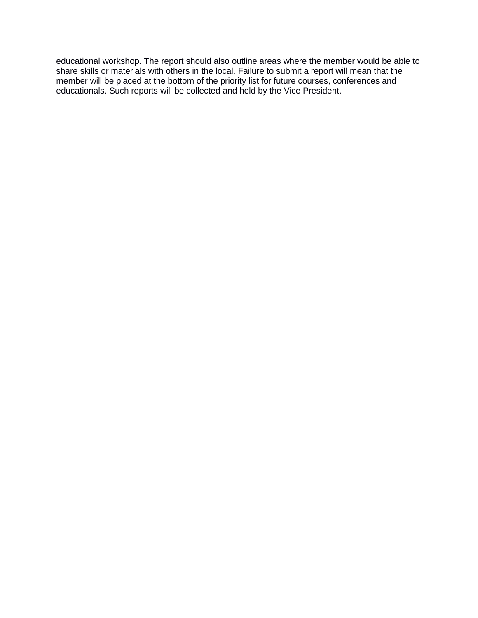educational workshop. The report should also outline areas where the member would be able to share skills or materials with others in the local. Failure to submit a report will mean that the member will be placed at the bottom of the priority list for future courses, conferences and educationals. Such reports will be collected and held by the Vice President.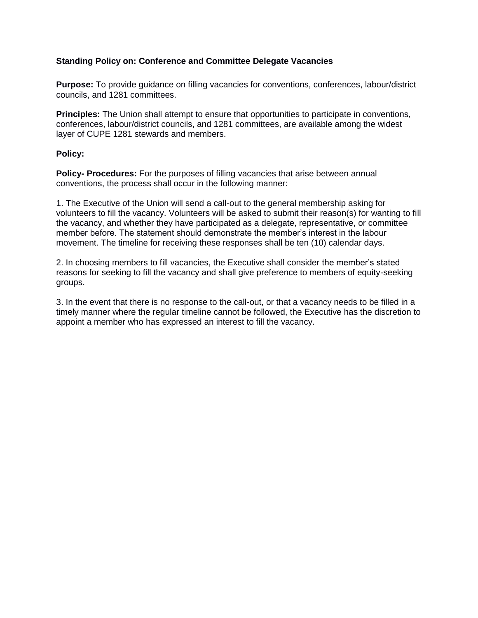## **Standing Policy on: Conference and Committee Delegate Vacancies**

**Purpose:** To provide guidance on filling vacancies for conventions, conferences, labour/district councils, and 1281 committees.

**Principles:** The Union shall attempt to ensure that opportunities to participate in conventions, conferences, labour/district councils, and 1281 committees, are available among the widest layer of CUPE 1281 stewards and members.

### **Policy:**

**Policy- Procedures:** For the purposes of filling vacancies that arise between annual conventions, the process shall occur in the following manner:

1. The Executive of the Union will send a call-out to the general membership asking for volunteers to fill the vacancy. Volunteers will be asked to submit their reason(s) for wanting to fill the vacancy, and whether they have participated as a delegate, representative, or committee member before. The statement should demonstrate the member's interest in the labour movement. The timeline for receiving these responses shall be ten (10) calendar days.

2. In choosing members to fill vacancies, the Executive shall consider the member's stated reasons for seeking to fill the vacancy and shall give preference to members of equity-seeking groups.

3. In the event that there is no response to the call-out, or that a vacancy needs to be filled in a timely manner where the regular timeline cannot be followed, the Executive has the discretion to appoint a member who has expressed an interest to fill the vacancy.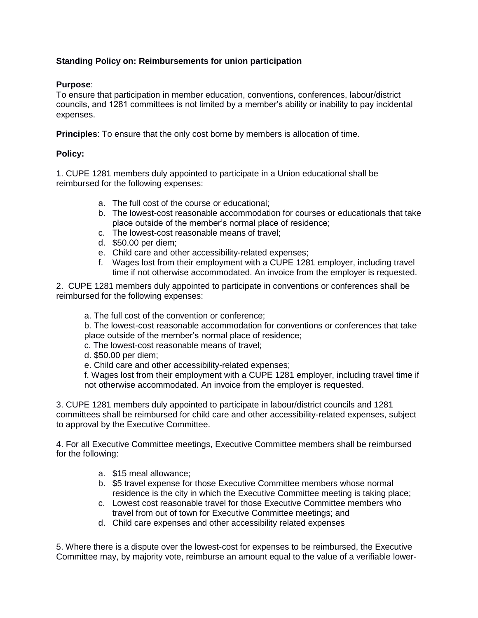# **Standing Policy on: Reimbursements for union participation**

## **Purpose**:

To ensure that participation in member education, conventions, conferences, labour/district councils, and 1281 committees is not limited by a member's ability or inability to pay incidental expenses.

**Principles**: To ensure that the only cost borne by members is allocation of time.

## **Policy:**

1. CUPE 1281 members duly appointed to participate in a Union educational shall be reimbursed for the following expenses:

- a. The full cost of the course or educational;
- b. The lowest-cost reasonable accommodation for courses or educationals that take place outside of the member's normal place of residence;
- c. The lowest-cost reasonable means of travel;
- d. \$50.00 per diem;
- e. Child care and other accessibility-related expenses;
- f. Wages lost from their employment with a CUPE 1281 employer, including travel time if not otherwise accommodated. An invoice from the employer is requested.

2. CUPE 1281 members duly appointed to participate in conventions or conferences shall be reimbursed for the following expenses:

a. The full cost of the convention or conference;

b. The lowest-cost reasonable accommodation for conventions or conferences that take place outside of the member's normal place of residence;

c. The lowest-cost reasonable means of travel;

- d. \$50.00 per diem;
- e. Child care and other accessibility-related expenses;

f. Wages lost from their employment with a CUPE 1281 employer, including travel time if not otherwise accommodated. An invoice from the employer is requested.

3. CUPE 1281 members duly appointed to participate in labour/district councils and 1281 committees shall be reimbursed for child care and other accessibility-related expenses, subject to approval by the Executive Committee.

4. For all Executive Committee meetings, Executive Committee members shall be reimbursed for the following:

- a. \$15 meal allowance;
- b. \$5 travel expense for those Executive Committee members whose normal residence is the city in which the Executive Committee meeting is taking place;
- c. Lowest cost reasonable travel for those Executive Committee members who travel from out of town for Executive Committee meetings; and
- d. Child care expenses and other accessibility related expenses

5. Where there is a dispute over the lowest-cost for expenses to be reimbursed, the Executive Committee may, by majority vote, reimburse an amount equal to the value of a verifiable lower-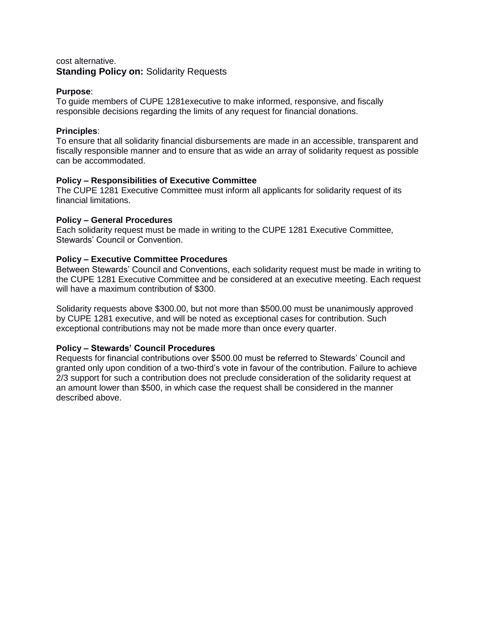## cost alternative. **Standing Policy on:** Solidarity Requests

## **Purpose**:

To guide members of CUPE 1281executive to make informed, responsive, and fiscally responsible decisions regarding the limits of any request for financial donations.

## **Principles**:

To ensure that all solidarity financial disbursements are made in an accessible, transparent and fiscally responsible manner and to ensure that as wide an array of solidarity request as possible can be accommodated.

### **Policy – Responsibilities of Executive Committee**

The CUPE 1281 Executive Committee must inform all applicants for solidarity request of its financial limitations.

### **Policy – General Procedures**

Each solidarity request must be made in writing to the CUPE 1281 Executive Committee, Stewards' Council or Convention.

### **Policy – Executive Committee Procedures**

Between Stewards' Council and Conventions, each solidarity request must be made in writing to the CUPE 1281 Executive Committee and be considered at an executive meeting. Each request will have a maximum contribution of \$300.

Solidarity requests above \$300.00, but not more than \$500.00 must be unanimously approved by CUPE 1281 executive, and will be noted as exceptional cases for contribution. Such exceptional contributions may not be made more than once every quarter.

## **Policy – Stewards' Council Procedures**

Requests for financial contributions over \$500.00 must be referred to Stewards' Council and granted only upon condition of a two-third's vote in favour of the contribution. Failure to achieve 2/3 support for such a contribution does not preclude consideration of the solidarity request at an amount lower than \$500, in which case the request shall be considered in the manner described above.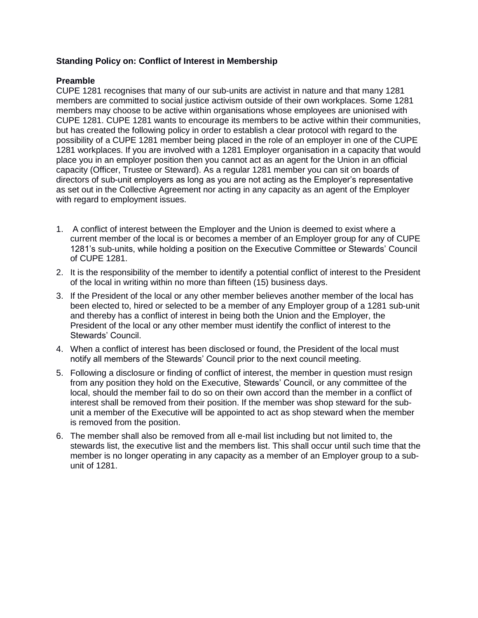## **Standing Policy on: Conflict of Interest in Membership**

### **Preamble**

CUPE 1281 recognises that many of our sub-units are activist in nature and that many 1281 members are committed to social justice activism outside of their own workplaces. Some 1281 members may choose to be active within organisations whose employees are unionised with CUPE 1281. CUPE 1281 wants to encourage its members to be active within their communities, but has created the following policy in order to establish a clear protocol with regard to the possibility of a CUPE 1281 member being placed in the role of an employer in one of the CUPE 1281 workplaces. If you are involved with a 1281 Employer organisation in a capacity that would place you in an employer position then you cannot act as an agent for the Union in an official capacity (Officer, Trustee or Steward). As a regular 1281 member you can sit on boards of directors of sub-unit employers as long as you are not acting as the Employer's representative as set out in the Collective Agreement nor acting in any capacity as an agent of the Employer with regard to employment issues.

- 1. A conflict of interest between the Employer and the Union is deemed to exist where a current member of the local is or becomes a member of an Employer group for any of CUPE 1281's sub-units, while holding a position on the Executive Committee or Stewards' Council of CUPE 1281.
- 2. It is the responsibility of the member to identify a potential conflict of interest to the President of the local in writing within no more than fifteen (15) business days.
- 3. If the President of the local or any other member believes another member of the local has been elected to, hired or selected to be a member of any Employer group of a 1281 sub-unit and thereby has a conflict of interest in being both the Union and the Employer, the President of the local or any other member must identify the conflict of interest to the Stewards' Council.
- 4. When a conflict of interest has been disclosed or found, the President of the local must notify all members of the Stewards' Council prior to the next council meeting.
- 5. Following a disclosure or finding of conflict of interest, the member in question must resign from any position they hold on the Executive, Stewards' Council, or any committee of the local, should the member fail to do so on their own accord than the member in a conflict of interest shall be removed from their position. If the member was shop steward for the subunit a member of the Executive will be appointed to act as shop steward when the member is removed from the position.
- 6. The member shall also be removed from all e-mail list including but not limited to, the stewards list, the executive list and the members list. This shall occur until such time that the member is no longer operating in any capacity as a member of an Employer group to a subunit of 1281.